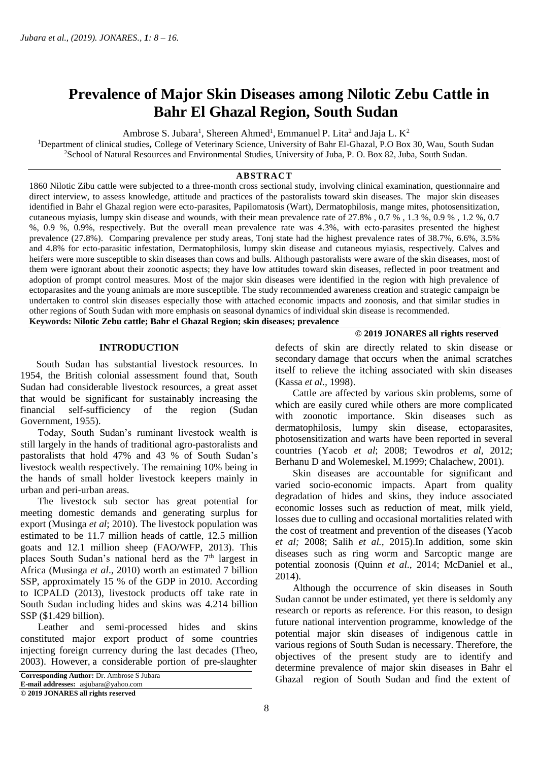# **Prevalence of Major Skin Diseases among Nilotic Zebu Cattle in Bahr El Ghazal Region, South Sudan**

Ambrose S. Jubara<sup>1</sup>, Shereen Ahmed<sup>1</sup>, Emmanuel P. Lita<sup>2</sup> and Jaja L.  $K^2$ 

<sup>1</sup>Department of clinical studies**,** College of Veterinary Science, University of Bahr El-Ghazal, P.O Box 30, Wau, South Sudan <sup>2</sup>School of Natural Resources and Environmental Studies, University of Juba, P. O. Box 82, Juba, South Sudan.

# **ABSTRACT**

1860 Nilotic Zibu cattle were subjected to a three-month cross sectional study, involving clinical examination, questionnaire and direct interview, to assess knowledge, attitude and practices of the pastoralists toward skin diseases. The major skin diseases identified in Bahr el Ghazal region were ecto-parasites, Papilomatosis (Wart), Dermatophilosis, mange mites, photosensitization, cutaneous myiasis, lumpy skin disease and wounds, with their mean prevalence rate of 27.8% , 0.7 % , 1.3 %, 0.9 % , 1.2 %, 0.7 %, 0.9 %, 0.9%, respectively. But the overall mean prevalence rate was 4.3%, with ecto-parasites presented the highest prevalence (27.8%). Comparing prevalence per study areas, Tonj state had the highest prevalence rates of 38.7%, 6.6%, 3.5% and 4.8% for ecto-parasitic infestation, Dermatophilosis, lumpy skin disease and cutaneous myiasis, respectively. Calves and heifers were more susceptible to skin diseases than cows and bulls. Although pastoralists were aware of the skin diseases, most of them were ignorant about their zoonotic aspects; they have low attitudes toward skin diseases, reflected in poor treatment and adoption of prompt control measures. Most of the major skin diseases were identified in the region with high prevalence of ectoparasites and the young animals are more susceptible. The study recommended awareness creation and strategic campaign be undertaken to control skin diseases especially those with attached economic impacts and zoonosis, and that similar studies in other regions of South Sudan with more emphasis on seasonal dynamics of individual skin disease is recommended.

**Keywords: Nilotic Zebu cattle; Bahr el Ghazal Region; skin diseases; prevalence**

#### **INTRODUCTION**

 South Sudan has substantial livestock resources. In 1954, the British colonial assessment found that, South Sudan had considerable livestock resources, a great asset that would be significant for sustainably increasing the financial self-sufficiency of the region (Sudan Government, 1955).

 Today, South Sudan's ruminant livestock wealth is still largely in the hands of traditional agro-pastoralists and pastoralists that hold 47% and 43 % of South Sudan's livestock wealth respectively. The remaining 10% being in the hands of small holder livestock keepers mainly in urban and peri-urban areas.

 The livestock sub sector has great potential for meeting domestic demands and generating surplus for export (Musinga *et al*; 2010). The livestock population was estimated to be 11.7 million heads of cattle, 12.5 million goats and 12.1 million sheep (FAO/WFP, 2013). This places South Sudan's national herd as the  $7<sup>th</sup>$  largest in Africa (Musinga *et al*., 2010) worth an estimated 7 billion SSP, approximately 15 % of the GDP in 2010. According to ICPALD (2013), livestock products off take rate in South Sudan including hides and skins was 4.214 billion SSP (\$1.429 billion).

 Leather and semi-processed hides and skins constituted major export product of some countries injecting foreign currency during the last decades (Theo, 2003). However, a considerable portion of pre-slaughter

**E-mail addresses:** asjubara@yahoo.com

**© 2019 JONARES all rights reserved**

defects of skin are directly related to skin disease or secondary damage that occurs when the animal scratches itself to relieve the itching associated with skin diseases (Kassa *et al.,* 1998).

 Cattle are affected by various skin problems, some of which are easily cured while others are more complicated with zoonotic importance. Skin diseases such as dermatophilosis, lumpy skin disease, ectoparasites, photosensitization and warts have been reported in several countries (Yacob *et al*; 2008; Tewodros *et al*, 2012; Berhanu D and Wolemeskel, M.1999; Chalachew, 2001).

 Skin diseases are accountable for significant and varied socio-economic impacts. Apart from quality degradation of hides and skins, they induce associated economic losses such as reduction of meat, milk yield, losses due to culling and occasional mortalities related with the cost of treatment and prevention of the diseases (Yacob *et al;* 2008; Salih *et al.,* 2015).In addition, some skin diseases such as ring worm and Sarcoptic mange are potential zoonosis (Quinn *et al*., 2014; McDaniel et al., 2014).

 Although the occurrence of skin diseases in South Sudan cannot be under estimated, yet there is seldomly any research or reports as reference. For this reason, to design future national intervention programme, knowledge of the potential major skin diseases of indigenous cattle in various regions of South Sudan is necessary. Therefore, the objectives of the present study are to identify and determine prevalence of major skin diseases in Bahr el Ghazal region of South Sudan and find the extent of **Corresponding Author:** Dr. Ambrose S Jubara

#### **© 2019 JONARES all rights reserved**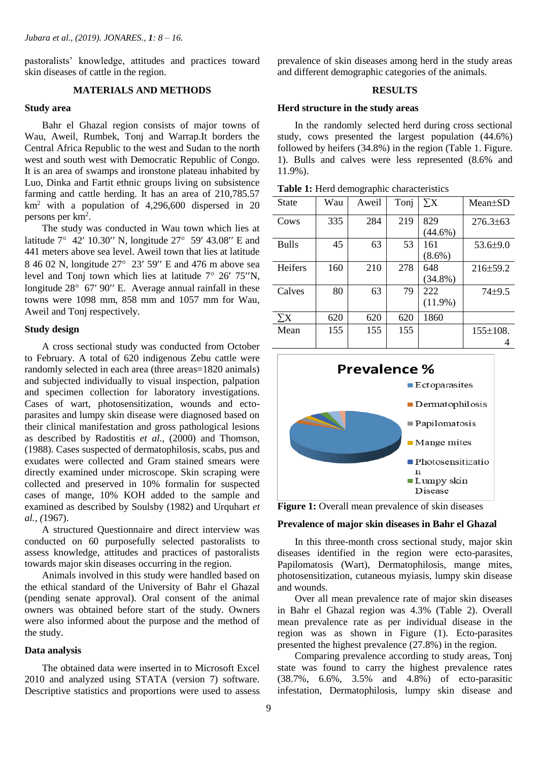pastoralists' knowledge, attitudes and practices toward skin diseases of cattle in the region.

# **MATERIALS AND METHODS**

## **Study area**

 Bahr el Ghazal region consists of major towns of Wau, Aweil, Rumbek, Tonj and Warrap.It borders the Central Africa Republic to the west and Sudan to the north west and south west with Democratic Republic of Congo. It is an area of swamps and ironstone plateau inhabited by Luo, Dinka and Fartit ethnic groups living on subsistence farming and cattle herding. It has an area of 210,785.57  $km<sup>2</sup>$  with a population of 4,296,600 dispersed in 20 persons per km<sup>2</sup> .

The study was conducted in Wau town which lies at latitude  $7^{\circ}$  42' 10.30" N, longitude  $27^{\circ}$  59' 43.08" E and 441 meters above sea level. Aweil town that lies at latitude 8 46 02 N, longitude 27° 23′ 59″ E and 476 m above sea level and Tonj town which lies at latitude  $7^{\circ}$  26' 75"N, longitude  $28^{\circ}$  67' 90'' E. Average annual rainfall in these towns were 1098 mm, 858 mm and 1057 mm for Wau, Aweil and Tonj respectively.

#### **Study design**

 A cross sectional study was conducted from October to February. A total of 620 indigenous Zebu cattle were randomly selected in each area (three areas=1820 animals) and subjected individually to visual inspection, palpation and specimen collection for laboratory investigations. Cases of wart, photosensitization, wounds and ectoparasites and lumpy skin disease were diagnosed based on their clinical manifestation and gross pathological lesions as described by Radostitis *et al.,* (2000) and Thomson, (1988). Cases suspected of dermatophilosis, scabs, pus and exudates were collected and Gram stained smears were directly examined under microscope. Skin scraping were collected and preserved in 10% formalin for suspected cases of mange, 10% KOH added to the sample and examined as described by Soulsby (1982) and Urquhart *et al., (*1967).

 A structured Questionnaire and direct interview was conducted on 60 purposefully selected pastoralists to assess knowledge, attitudes and practices of pastoralists towards major skin diseases occurring in the region.

 Animals involved in this study were handled based on the ethical standard of the University of Bahr el Ghazal (pending senate approval). Oral consent of the animal owners was obtained before start of the study. Owners were also informed about the purpose and the method of the study.

## **Data analysis**

 The obtained data were inserted in to Microsoft Excel 2010 and analyzed using STATA (version 7) software. Descriptive statistics and proportions were used to assess

prevalence of skin diseases among herd in the study areas and different demographic categories of the animals.

#### **RESULTS**

#### **Herd structure in the study areas**

 In the randomly selected herd during cross sectional study, cows presented the largest population (44.6%) followed by heifers (34.8%) in the region (Table 1. Figure. 1). Bulls and calves were less represented (8.6% and 11.9%).

| Table 1: Herd demographic characteristics |  |  |
|-------------------------------------------|--|--|
|-------------------------------------------|--|--|

| <b>State</b>   | Wau | Aweil | Tonj | $\overline{\Sigma} {\rm X}$ | $Mean \pm SD$   |
|----------------|-----|-------|------|-----------------------------|-----------------|
| Cows           | 335 | 284   | 219  | 829                         | $276.3\pm 63$   |
|                |     |       |      | $(44.6\%)$                  |                 |
| <b>Bulls</b>   | 45  | 63    | 53   | 161                         | $53.6 \pm 9.0$  |
|                |     |       |      | $(8.6\%)$                   |                 |
| <b>Heifers</b> | 160 | 210   | 278  | 648                         | $216 \pm 59.2$  |
|                |     |       |      | $(34.8\%)$                  |                 |
| Calves         | 80  | 63    | 79   | 222                         | $74 + 9.5$      |
|                |     |       |      | $(11.9\%)$                  |                 |
| $\sum X$       | 620 | 620   | 620  | 1860                        |                 |
| Mean           | 155 | 155   | 155  |                             | $155 \pm 108$ . |
|                |     |       |      |                             |                 |



Figure 1: Overall mean prevalence of skin diseases

#### **Prevalence of major skin diseases in Bahr el Ghazal**

 In this three-month cross sectional study, major skin diseases identified in the region were ecto-parasites, Papilomatosis (Wart), Dermatophilosis, mange mites, photosensitization, cutaneous myiasis, lumpy skin disease and wounds.

 Over all mean prevalence rate of major skin diseases in Bahr el Ghazal region was 4.3% (Table 2). Overall mean prevalence rate as per individual disease in the region was as shown in Figure (1). Ecto-parasites presented the highest prevalence (27.8%) in the region.

 Comparing prevalence according to study areas, Tonj state was found to carry the highest prevalence rates (38.7%, 6.6%, 3.5% and 4.8%) of ecto-parasitic infestation, Dermatophilosis, lumpy skin disease and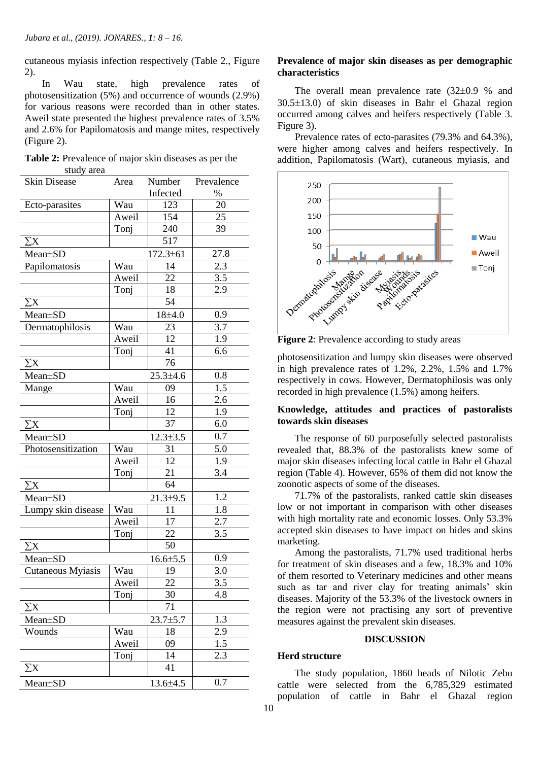cutaneous myiasis infection respectively (Table 2., Figure 2).

 In Wau state, high prevalence rates of photosensitization (5%) and occurrence of wounds (2.9%) for various reasons were recorded than in other states. Aweil state presented the highest prevalence rates of 3.5% and 2.6% for Papilomatosis and mange mites, respectively (Figure 2).

| <b>Table 2:</b> Prevalence of major skin diseases as per the |  |  |  |
|--------------------------------------------------------------|--|--|--|
| study area                                                   |  |  |  |

| <b>Skin Disease</b> | Area  | Number          | Prevalence       |
|---------------------|-------|-----------------|------------------|
|                     |       | Infected        | $\%$             |
| Ecto-parasites      | Wau   | 123             | 20               |
|                     | Aweil | 154             | 25               |
|                     | Tonj  | 240             | 39               |
| $\sum X$            |       | 517             |                  |
| Mean±SD             |       | $172.3 \pm 61$  | 27.8             |
| Papilomatosis       | Wau   | 14              | 2.3              |
|                     | Aweil | 22              | 3.5              |
|                     | Tonj  | 18              | 2.9              |
| $\sum X$            |       | 54              |                  |
| Mean±SD             |       | $18 + 4.0$      | 0.9              |
| Dermatophilosis     | Wau   | 23              | 3.7              |
|                     | Aweil | 12              | 1.9              |
|                     | Tonj  | 41              | 6.6              |
| $\sum X$            |       | 76              |                  |
| Mean±SD             |       | $25.3 \pm 4.6$  | 0.8              |
| Mange               | Wau   | 09              | 1.5              |
|                     | Aweil | 16              | 2.6              |
|                     | Tonj  | 12              | 1.9              |
| $\sum X$            |       | 37              | 6.0              |
| Mean±SD             |       | $12.3 \pm 3.5$  | 0.7              |
| Photosensitization  | Wau   | 31              | 5.0              |
|                     | Aweil | 12              | 1.9              |
|                     | Tonj  | 21              | 3.4              |
| $\sum X$            |       | 64              |                  |
| Mean±SD             |       | $21.3 + 9.5$    | 1.2              |
| Lumpy skin disease  | Wau   | 11              | 1.8              |
|                     | Aweil | 17              | 2.7              |
|                     | Tonj  | 22              | 3.5              |
| $\sum X$            |       | 50              |                  |
| Mean±SD             |       | $16.6{\pm}5.5$  | 0.9              |
| Cutaneous Myiasis   | Wau   | 19              | 3.0              |
|                     | Aweil | $\overline{22}$ | $\overline{3.5}$ |
|                     | Tonj  | 30              | 4.8              |
| $\sum X$            |       | 71              |                  |
| Mean±SD             |       | $23.7 + 5.7$    | 1.3              |
| Wounds              | Wau   | 18              | 2.9              |
|                     | Aweil | 09              | 1.5              |
|                     | Tonj  | 14              | 2.3              |
| $\sum X$            |       | 41              |                  |
| Mean±SD             |       | 13.6±4.5        | 0.7              |

## **Prevalence of major skin diseases as per demographic characteristics**

The overall mean prevalence rate  $(32\pm0.9 %$  and  $30.5\pm13.0$ ) of skin diseases in Bahr el Ghazal region occurred among calves and heifers respectively (Table 3. Figure 3).

 Prevalence rates of ecto-parasites (79.3% and 64.3%), were higher among calves and heifers respectively. In addition, Papilomatosis (Wart), cutaneous myiasis, and



**Figure 2**: Prevalence according to study areas

photosensitization and lumpy skin diseases were observed in high prevalence rates of 1.2%, 2.2%, 1.5% and 1.7% respectively in cows. However, Dermatophilosis was only recorded in high prevalence (1.5%) among heifers.

## **Knowledge, attitudes and practices of pastoralists towards skin diseases**

 The response of 60 purposefully selected pastoralists revealed that, 88.3% of the pastoralists knew some of major skin diseases infecting local cattle in Bahr el Ghazal region (Table 4). However, 65% of them did not know the zoonotic aspects of some of the diseases.

 71.7% of the pastoralists, ranked cattle skin diseases low or not important in comparison with other diseases with high mortality rate and economic losses. Only 53.3% accepted skin diseases to have impact on hides and skins marketing.

 Among the pastoralists, 71.7% used traditional herbs for treatment of skin diseases and a few, 18.3% and 10% of them resorted to Veterinary medicines and other means such as tar and river clay for treating animals' skin diseases. Majority of the 53.3% of the livestock owners in the region were not practising any sort of preventive measures against the prevalent skin diseases. Î

## **DISCUSSION**

## **Herd structure**

 The study population, 1860 heads of Nilotic Zebu cattle were selected from the 6,785,329 estimated population of cattle in Bahr el Ghazal region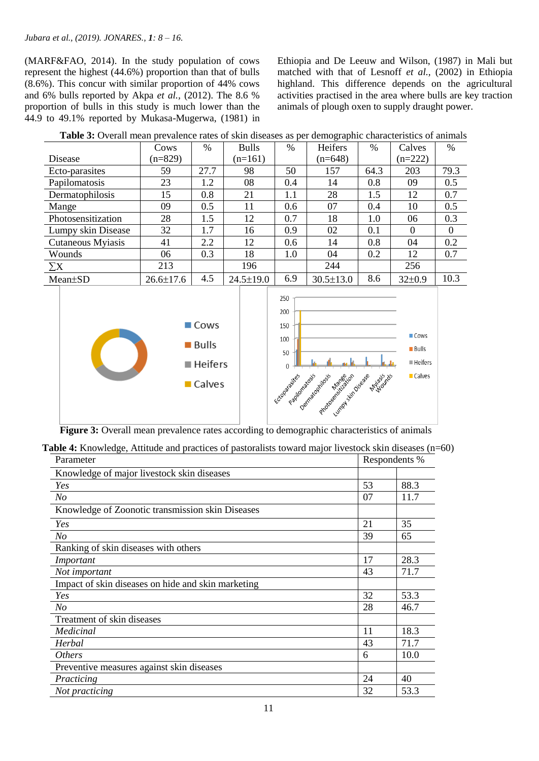#### *Jubara et al., (2019). JONARES., 1: 8 – 16.*

(MARF&FAO, 2014). In the study population of cows represent the highest (44.6%) proportion than that of bulls (8.6%). This concur with similar proportion of 44% cows and 6% bulls reported by Akpa *et al.,* (2012). The 8.6 % proportion of bulls in this study is much lower than the 44.9 to 49.1% reported by Mukasa-Mugerwa, (1981) in Ethiopia and De Leeuw and Wilson, (1987) in Mali but matched with that of Lesnoff *et al.,* (2002) in Ethiopia highland. This difference depends on the agricultural activities practised in the area where bulls are key traction animals of plough oxen to supply draught power.

| $\sim$             |                 |      |                 |      |                 |               |              |               |
|--------------------|-----------------|------|-----------------|------|-----------------|---------------|--------------|---------------|
|                    | Cows            | %    | <b>Bulls</b>    | $\%$ | Heifers         | $\frac{0}{0}$ | Calves       | $\frac{0}{0}$ |
| Disease            | $(n=829)$       |      | $(n=161)$       |      | $(n=648)$       |               | $(n=222)$    |               |
| Ecto-parasites     | 59              | 27.7 | 98              | 50   | 157             | 64.3          | 203          | 79.3          |
| Papilomatosis      | 23              | 1.2  | 08              | 0.4  | 14              | 0.8           | 09           | 0.5           |
| Dermatophilosis    | 15              | 0.8  | 21              | 1.1  | 28              | 1.5           | 12           | 0.7           |
| Mange              | 09              | 0.5  | 11              | 0.6  | 07              | 0.4           | 10           | 0.5           |
| Photosensitization | 28              | 1.5  | 12              | 0.7  | 18              | 1.0           | 06           | 0.3           |
| Lumpy skin Disease | 32              | 1.7  | 16              | 0.9  | 02              | 0.1           | $\Omega$     | $\Omega$      |
| Cutaneous Myiasis  | 41              | 2.2  | 12              | 0.6  | 14              | 0.8           | 04           | 0.2           |
| Wounds             | 06              | 0.3  | 18              | 1.0  | 04              | 0.2           | 12           | 0.7           |
| $\sum X$           | 213             |      | 196             |      | 244             |               | 256          |               |
| Mean±SD            | $26.6 \pm 17.6$ | 4.5  | $24.5 \pm 19.0$ | 6.9  | $30.5 \pm 13.0$ | 8.6           | $32 \pm 0.9$ | 10.3          |

| Table 3: Overall mean prevalence rates of skin diseases as per demographic characteristics of animals |  |
|-------------------------------------------------------------------------------------------------------|--|
|-------------------------------------------------------------------------------------------------------|--|



**Figure 3:** Overall mean prevalence rates according to demographic characteristics of animals

Table 4: Knowledge, Attitude and practices of pastoralists toward major livestock skin diseases (n=60)

| Parameter                                          | Respondents % |      |  |
|----------------------------------------------------|---------------|------|--|
| Knowledge of major livestock skin diseases         |               |      |  |
| Yes                                                | 53            | 88.3 |  |
| N <sub>O</sub>                                     | 07            | 11.7 |  |
| Knowledge of Zoonotic transmission skin Diseases   |               |      |  |
| Yes                                                | 21            | 35   |  |
| N <sub>O</sub>                                     | 39            | 65   |  |
| Ranking of skin diseases with others               |               |      |  |
| Important                                          | 17            | 28.3 |  |
| Not important                                      | 43            | 71.7 |  |
| Impact of skin diseases on hide and skin marketing |               |      |  |
| Yes                                                | 32            | 53.3 |  |
| No                                                 | 28            | 46.7 |  |
| Treatment of skin diseases                         |               |      |  |
| Medicinal                                          | 11            | 18.3 |  |
| Herbal                                             | 43            | 71.7 |  |
| <i>Others</i>                                      | 6             | 10.0 |  |
| Preventive measures against skin diseases          |               |      |  |
| Practicing                                         | 24            | 40   |  |
| Not practicing                                     | 32            | 53.3 |  |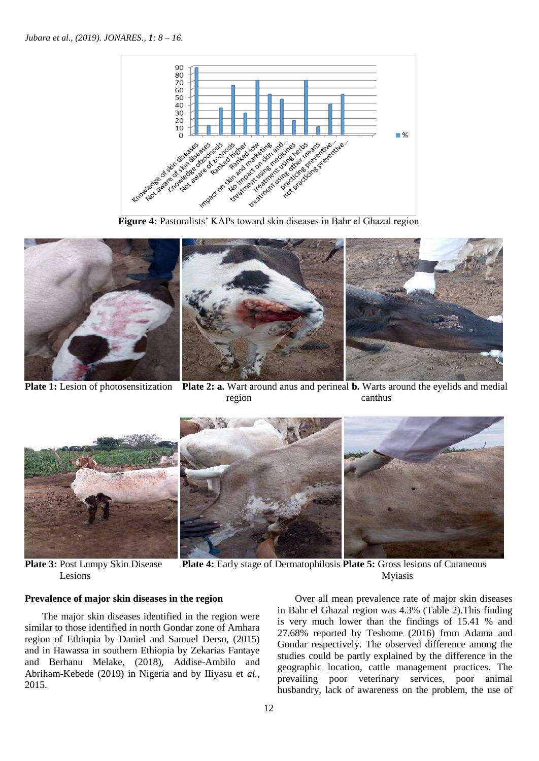



**Plate 1:** Lesion of photosensitization **Plate 2: a.** Wart around anus and perineal **b.** Warts around the eyelids and medial region can can be completed as  $\alpha$  can be can be completed as  $\alpha$ 



**Plate 3:** Post Lumpy Skin Disease **Plate 4:** Early stage of Dermatophilosis **Plate 5:** Gross lesions of Cutaneous Lesions Myiasis

## **Prevalence of major skin diseases in the region**

The major skin diseases identified in the region were similar to those identified in north Gondar zone of Amhara region of Ethiopia by Daniel and Samuel Derso, (2015) and in Hawassa in southern Ethiopia by Zekarias Fantaye and Berhanu Melake, (2018), Addise-Ambilo and Abriham-Kebede (2019) in Nigeria and by IIiyasu et *al.,* 2015.

 Over all mean prevalence rate of major skin diseases in Bahr el Ghazal region was 4.3% (Table 2).This finding is very much lower than the findings of 15.41 % and 27.68% reported by Teshome (2016) from Adama and Gondar respectively. The observed difference among the studies could be partly explained by the difference in the geographic location, cattle management practices. The prevailing poor veterinary services, poor animal husbandry, lack of awareness on the problem, the use of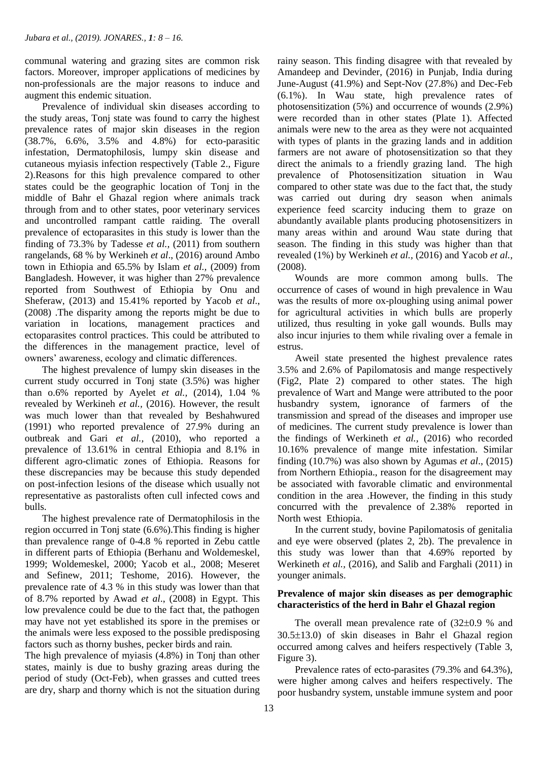communal watering and grazing sites are common risk factors. Moreover, improper applications of medicines by non-professionals are the major reasons to induce and augment this endemic situation.

 Prevalence of individual skin diseases according to the study areas, Tonj state was found to carry the highest prevalence rates of major skin diseases in the region (38.7%, 6.6%, 3.5% and 4.8%) for ecto-parasitic infestation, Dermatophilosis, lumpy skin disease and cutaneous myiasis infection respectively (Table 2., Figure 2).Reasons for this high prevalence compared to other states could be the geographic location of Tonj in the middle of Bahr el Ghazal region where animals track through from and to other states, poor veterinary services and uncontrolled rampant cattle raiding. The overall prevalence of ectoparasites in this study is lower than the finding of 73.3% by Tadesse *et al.,* (2011) from southern rangelands, 68 % by Werkineh *et al*., (2016) around Ambo town in Ethiopia and 65.5% by Islam *et al.,* (2009) from Bangladesh. However, it was higher than 27% prevalence reported from Southwest of Ethiopia by Onu and Sheferaw, (2013) and 15.41% reported by Yacob *et al*., (2008) .The disparity among the reports might be due to variation in locations, management practices and ectoparasites control practices. This could be attributed to the differences in the management practice, level of owners' awareness, ecology and climatic differences.

 The highest prevalence of lumpy skin diseases in the current study occurred in Tonj state (3.5%) was higher than o.6% reported by Ayelet *et al.,* (2014), 1.04 % revealed by Werkineh *et al.,* (2016). However, the result was much lower than that revealed by Beshahwured (1991) who reported prevalence of 27.9% during an outbreak and Gari *et al.,* (2010), who reported a prevalence of 13.61% in central Ethiopia and 8.1% in different agro-climatic zones of Ethiopia. Reasons for these discrepancies may be because this study depended on post-infection lesions of the disease which usually not representative as pastoralists often cull infected cows and bulls.

 The highest prevalence rate of Dermatophilosis in the region occurred in Tonj state (6.6%).This finding is higher than prevalence range of 0-4.8 % reported in Zebu cattle in different parts of Ethiopia (Berhanu and Woldemeskel, 1999; Woldemeskel, 2000; Yacob et al., 2008; Meseret and Sefinew, 2011; Teshome, 2016). However, the prevalence rate of 4.3 % in this study was lower than that of 8.7% reported by Awad *et al*., (2008) in Egypt. This low prevalence could be due to the fact that, the pathogen may have not yet established its spore in the premises or the animals were less exposed to the possible predisposing factors such as thorny bushes, pecker birds and rain*.* 

The high prevalence of myiasis (4.8%) in Tonj than other states, mainly is due to bushy grazing areas during the period of study (Oct-Feb), when grasses and cutted trees are dry, sharp and thorny which is not the situation during rainy season. This finding disagree with that revealed by Amandeep and Devinder, (2016) in Punjab, India during June-August (41.9%) and Sept-Nov (27.8%) and Dec-Feb (6.1%). In Wau state, high prevalence rates of photosensitization (5%) and occurrence of wounds (2.9%) were recorded than in other states (Plate 1). Affected animals were new to the area as they were not acquainted with types of plants in the grazing lands and in addition farmers are not aware of photosensitization so that they direct the animals to a friendly grazing land. The high prevalence of Photosensitization situation in Wau compared to other state was due to the fact that, the study was carried out during dry season when animals experience feed scarcity inducing them to graze on abundantly available plants producing photosensitizers in many areas within and around Wau state during that season. The finding in this study was higher than that revealed (1%) by Werkineh *et al.,* (2016) and Yacob *et al.,* (2008).

 Wounds are more common among bulls. The occurrence of cases of wound in high prevalence in Wau was the results of more ox-ploughing using animal power for agricultural activities in which bulls are properly utilized, thus resulting in yoke gall wounds. Bulls may also incur injuries to them while rivaling over a female in estrus.

 Aweil state presented the highest prevalence rates 3.5% and 2.6% of Papilomatosis and mange respectively (Fig2, Plate 2) compared to other states. The high prevalence of Wart and Mange were attributed to the poor husbandry system, ignorance of farmers of the transmission and spread of the diseases and improper use of medicines. The current study prevalence is lower than the findings of Werkineth *et al.,* (2016) who recorded 10.16% prevalence of mange mite infestation. Similar finding (10.7%) was also shown by Agumas *et al*., (2015) from Northern Ethiopia., reason for the disagreement may be associated with favorable climatic and environmental condition in the area .However, the finding in this study concurred with the prevalence of 2.38% reported in North west Ethiopia.

 In the current study, bovine Papilomatosis of genitalia and eye were observed (plates 2, 2b). The prevalence in this study was lower than that 4.69% reported by Werkineth *et al.,* (2016), and Salib and Farghali (2011) in younger animals.

## **Prevalence of major skin diseases as per demographic characteristics of the herd in Bahr el Ghazal region**

The overall mean prevalence rate of  $(32\pm0.9\%$  and 30.513.0) of skin diseases in Bahr el Ghazal region occurred among calves and heifers respectively (Table 3, Figure 3).

 Prevalence rates of ecto-parasites (79.3% and 64.3%), were higher among calves and heifers respectively. The poor husbandry system, unstable immune system and poor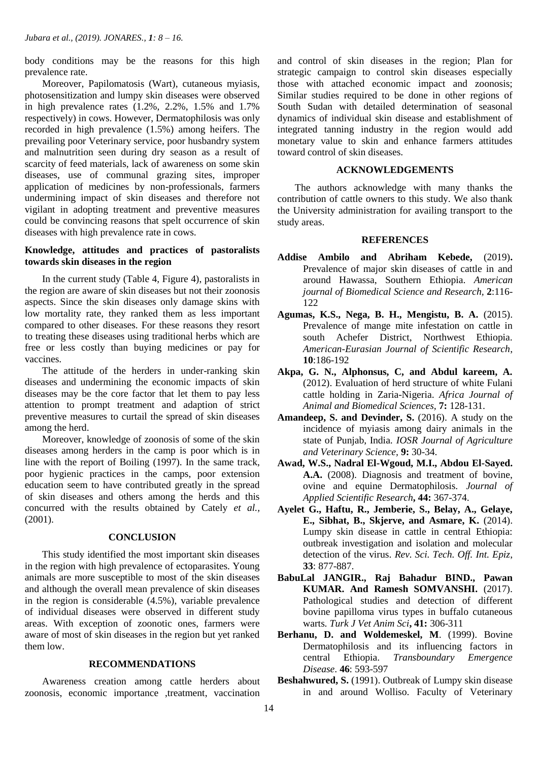body conditions may be the reasons for this high prevalence rate.

 Moreover, Papilomatosis (Wart), cutaneous myiasis, photosensitization and lumpy skin diseases were observed in high prevalence rates  $(1.2\%), 2.2\%$ , 1.5% and 1.7% respectively) in cows. However, Dermatophilosis was only recorded in high prevalence (1.5%) among heifers. The prevailing poor Veterinary service, poor husbandry system and malnutrition seen during dry season as a result of scarcity of feed materials, lack of awareness on some skin diseases, use of communal grazing sites, improper application of medicines by non-professionals, farmers undermining impact of skin diseases and therefore not vigilant in adopting treatment and preventive measures could be convincing reasons that spelt occurrence of skin diseases with high prevalence rate in cows.

## **Knowledge, attitudes and practices of pastoralists towards skin diseases in the region**

 In the current study (Table 4, Figure 4), pastoralists in the region are aware of skin diseases but not their zoonosis aspects. Since the skin diseases only damage skins with low mortality rate, they ranked them as less important compared to other diseases. For these reasons they resort to treating these diseases using traditional herbs which are free or less costly than buying medicines or pay for vaccines.

 The attitude of the herders in under-ranking skin diseases and undermining the economic impacts of skin diseases may be the core factor that let them to pay less attention to prompt treatment and adaption of strict preventive measures to curtail the spread of skin diseases among the herd.

 Moreover, knowledge of zoonosis of some of the skin diseases among herders in the camp is poor which is in line with the report of Boiling (1997). In the same track, poor hygienic practices in the camps, poor extension education seem to have contributed greatly in the spread of skin diseases and others among the herds and this concurred with the results obtained by Cately *et al.,* (2001).

#### **CONCLUSION**

 This study identified the most important skin diseases in the region with high prevalence of ectoparasites. Young animals are more susceptible to most of the skin diseases and although the overall mean prevalence of skin diseases in the region is considerable (4.5%), variable prevalence of individual diseases were observed in different study areas. With exception of zoonotic ones, farmers were aware of most of skin diseases in the region but yet ranked them low.

#### **RECOMMENDATIONS**

 Awareness creation among cattle herders about zoonosis, economic importance ,treatment, vaccination and control of skin diseases in the region; Plan for strategic campaign to control skin diseases especially those with attached economic impact and zoonosis; Similar studies required to be done in other regions of South Sudan with detailed determination of seasonal dynamics of individual skin disease and establishment of integrated tanning industry in the region would add monetary value to skin and enhance farmers attitudes toward control of skin diseases.

#### **ACKNOWLEDGEMENTS**

 The authors acknowledge with many thanks the contribution of cattle owners to this study. We also thank the University administration for availing transport to the study areas.

#### **REFERENCES**

- **Addise Ambilo and Abriham Kebede,** (2019)**.**  Prevalence of major skin diseases of cattle in and around Hawassa, Southern Ethiopia. *American journal of Biomedical Science and Research,* **2**:116- 122
- **Agumas, K.S., Nega, B. H., Mengistu, B. A.** (2015). Prevalence of mange mite infestation on cattle in south Achefer District, Northwest Ethiopia. *American-Eurasian Journal of Scientific Research*, **10**:186-192
- **Akpa, G. N., Alphonsus, C, and Abdul kareem, A.** (2012). Evaluation of herd structure of white Fulani cattle holding in Zaria-Nigeria. *Africa Journal of Animal and Biomedical Sciences,* **7:** 128-131.
- **Amandeep, S. and Devinder, S.** (2016). A study on the incidence of myiasis among dairy animals in the state of Punjab, India. *IOSR Journal of Agriculture and Veterinary Science,* **9:** 30-34.
- **Awad, W.S., Nadral El-Wgoud, M.I., Abdou El-Sayed. A.A.** (2008). Diagnosis and treatment of bovine, ovine and equine Dermatophilosis. *Journal of Applied Scientific Research***, 44:** 367-374.
- **Ayelet G., Haftu, R., Jemberie, S., Belay, A., Gelaye, E., Sibhat, B., Skjerve, and Asmare, K.** (2014). Lumpy skin disease in cattle in central Ethiopia: outbreak investigation and isolation and molecular detection of the virus. *Rev. Sci. Tech. Off. Int. Epiz*, **33**: 877-887.
- **BabuLal JANGIR., Raj Bahadur BIND., Pawan KUMAR. And Ramesh SOMVANSHI.** (2017). Pathological studies and detection of different bovine papilloma virus types in buffalo cutaneous warts. *Turk J Vet Anim Sci***, 41:** 306-311
- **Berhanu, D. and Woldemeskel, M**. (1999). Bovine Dermatophilosis and its influencing factors in central Ethiopia. *Transboundary Emergence Disease*. **46**: 593-597
- **Beshahwured, S.** (1991). Outbreak of Lumpy skin disease in and around Wolliso. Faculty of Veterinary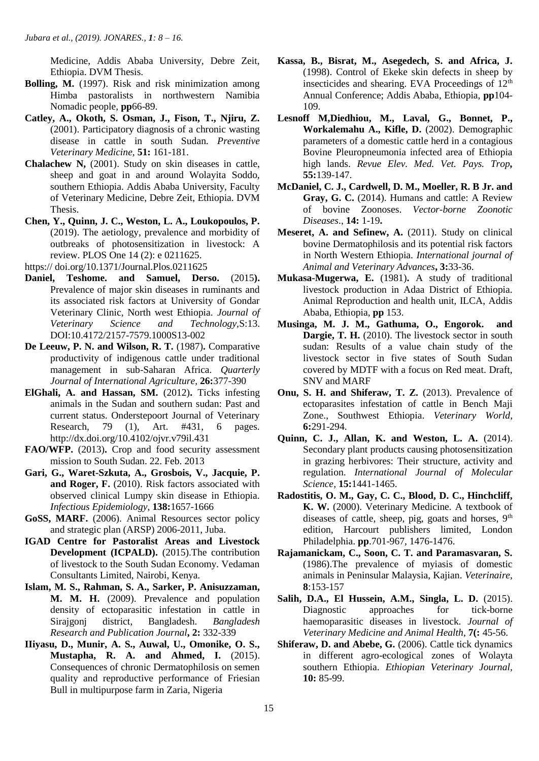Medicine, Addis Ababa University, Debre Zeit, Ethiopia. DVM Thesis.

- **Bolling, M.** (1997). Risk and risk minimization among Himba pastoralists in northwestern Namibia Nomadic people, **pp**66-89.
- **Catley, A., Okoth, S. Osman, J., Fison, T., Njiru, Z.** (2001). Participatory diagnosis of a chronic wasting disease in cattle in south Sudan. *Preventive Veterinary Medicine,* **51:** 161-181.
- **Chalachew N,** (2001). Study on skin diseases in cattle, sheep and goat in and around Wolayita Soddo, southern Ethiopia. Addis Ababa University, Faculty of Veterinary Medicine, Debre Zeit, Ethiopia. DVM Thesis.
- **Chen, Y., Quinn, J. C., Weston, L. A., Loukopoulos, P.** (2019). The aetiology, prevalence and morbidity of outbreaks of photosensitization in livestock: A review. PLOS One 14 (2): e 0211625.

https:// doi.org/10.1371/Journal.Plos.0211625

- **Daniel, Teshome. and Samuel, Derso.** (2015**).**  Prevalence of major skin diseases in ruminants and its associated risk factors at University of Gondar Veterinary Clinic, North west Ethiopia. *Journal of Veterinary Science and Technology,*S:13. DOI:10.4172/2157-7579.1000S13-002
- **De Leeuw, P. N. and Wilson, R. T.** (1987)**.** Comparative productivity of indigenous cattle under traditional management in sub-Saharan Africa. *Quarterly Journal of International Agriculture*, **26:**377-390
- **ElGhali, A. and Hassan, SM.** (2012)**.** Ticks infesting animals in the Sudan and southern sudan: Past and current status. Onderstepoort Journal of Veterinary Research, 79 (1), Art. #431, 6 pages. http://dx.doi.org/10.4102/ojvr.v79il.431
- **FAO/WFP.** (2013)**.** Crop and food security assessment mission to South Sudan. 22. Feb. 2013
- **Gari, G., Waret-Szkuta, A., Grosbois, V., Jacquie, P. and Roger, F.** (2010). Risk factors associated with observed clinical Lumpy skin disease in Ethiopia. *Infectious Epidemiology,* **138:**1657-1666
- **GoSS, MARF.** (2006). Animal Resources sector policy and strategic plan (ARSP) 2006-2011, Juba.
- **IGAD Centre for Pastoralist Areas and Livestock Development (ICPALD).** (2015).The contribution of livestock to the South Sudan Economy. Vedaman Consultants Limited, Nairobi, Kenya.
- **Islam, M. S., Rahman, S. A., Sarker, P. Anisuzzaman, M. M. H.** (2009). Prevalence and population density of ectoparasitic infestation in cattle in Sirajgonj district, Bangladesh. *Bangladesh Research and Publication Journal***, 2:** 332-339
- **IIiyasu, D., Munir, A. S., Auwal, U., Omonike, O. S., Mustapha, R. A. and Ahmed, I.** (2015). Consequences of chronic Dermatophilosis on semen quality and reproductive performance of Friesian Bull in multipurpose farm in Zaria, Nigeria
- **Kassa, B., Bisrat, M., Asegedech, S. and Africa, J.** (1998). Control of Ekeke skin defects in sheep by insecticides and shearing. EVA Proceedings of  $12<sup>th</sup>$ Annual Conference; Addis Ababa, Ethiopia, **pp**104- 109.
- **Lesnoff M,Diedhiou, M., Laval, G., Bonnet, P., Workalemahu A., Kifle, D.** (2002). Demographic parameters of a domestic cattle herd in a contagious Bovine Pleuropneumonia infected area of Ethiopia high lands. *Revue Elev. Med. Vet. Pays. Trop,* **55:**139-147.
- **McDaniel, C. J., Cardwell, D. M., Moeller, R. B Jr. and Gray, G. C.** (2014). Humans and cattle: A Review of bovine Zoonoses. *Vector-borne Zoonotic Diseases*., **14:** 1-19**.**
- **Meseret, A. and Sefinew, A.** (2011). Study on clinical bovine Dermatophilosis and its potential risk factors in North Western Ethiopia. *International journal of Animal and Veterinary Advances***, 3:**33-36.
- **Mukasa-Mugerwa, E.** (1981)**.** A study of traditional livestock production in Adaa District of Ethiopia. Animal Reproduction and health unit, ILCA, Addis Ababa, Ethiopia, **pp** 153.
- **Musinga, M. J. M., Gathuma, O., Engorok. and Dargie, T. H.** (2010). The livestock sector in south sudan: Results of a value chain study of the livestock sector in five states of South Sudan covered by MDTF with a focus on Red meat. Draft, SNV and MARF
- **Onu, S. H. and Shiferaw, T. Z.** (2013). Prevalence of ectoparasites infestation of cattle in Bench Maji Zone., Southwest Ethiopia. *Veterinary World*, **6:**291-294.
- **Quinn, C. J., Allan, K. and Weston, L. A.** (2014). Secondary plant products causing photosensitization in grazing herbivores: Their structure, activity and regulation. *International Journal of Molecular Science,* **15:**1441-1465.
- **Radostitis, O. M., Gay, C. C., Blood, D. C., Hinchcliff, K. W.** (2000). Veterinary Medicine. A textbook of diseases of cattle, sheep, pig, goats and horses,  $9<sup>th</sup>$ edition, Harcourt publishers limited, London Philadelphia. **pp**.701-967, 1476-1476.
- **Rajamanickam, C., Soon, C. T. and Paramasvaran, S.** (1986).The prevalence of myiasis of domestic animals in Peninsular Malaysia, Kajian. *Veterinaire,*  **8**:153-157
- **Salih, D.A., El Hussein, A.M., Singla, L. D.** (2015). Diagnostic approaches for tick-borne haemoparasitic diseases in livestock. *Journal of Veterinary Medicine and Animal Health*, **7(:** 45-56.
- **Shiferaw, D. and Abebe, G.** (2006). Cattle tick dynamics in different agro-ecological zones of Wolayta southern Ethiopia. *Ethiopian Veterinary Journal,* **10:** 85-99.